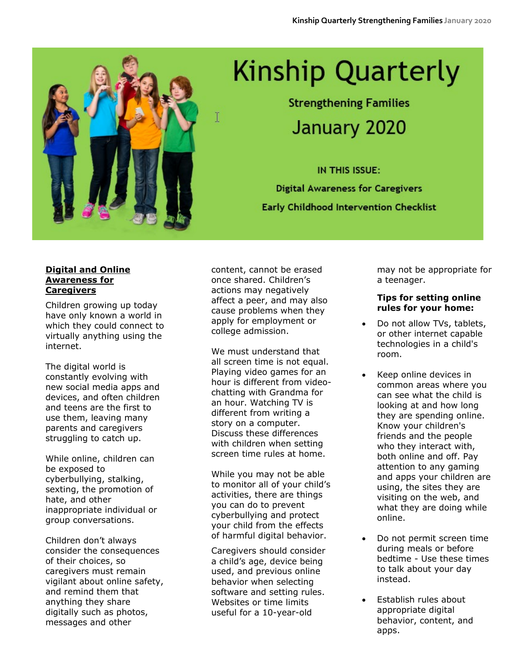

# **Kinship Quarterly**

**Strengthening Families** January 2020

IN THIS ISSUE: **Digital Awareness for Caregivers Early Childhood Intervention Checklist** 

#### **Digital and Online Awareness for Caregivers**

Children growing up today have only known a world in which they could connect to virtually anything using the internet.

The digital world is constantly evolving with new social media apps and devices, and often children and teens are the first to use them, leaving many parents and caregivers struggling to catch up.

While online, children can be exposed to cyberbullying, stalking, sexting, the promotion of hate, and other inappropriate individual or group conversations.

Children don't always consider the consequences of their choices, so caregivers must remain vigilant about online safety, and remind them that anything they share digitally such as photos, messages and other

content, cannot be erased once shared. Children's actions may negatively affect a peer, and may also cause problems when they apply for employment or college admission.

T

We must understand that all screen time is not equal. Playing video games for an hour is different from videochatting with Grandma for an hour. Watching TV is different from writing a story on a computer. Discuss these differences with children when setting screen time rules at home.

While you may not be able to monitor all of your child's activities, there are things you can do to prevent cyberbullying and protect your child from the effects of harmful digital behavior.

Caregivers should consider a child's age, device being used, and previous online behavior when selecting software and setting rules. Websites or time limits useful for a 10-year-old

may not be appropriate for a teenager.

#### **Tips for setting online rules for your home:**

- Do not allow TVs, tablets, or other internet capable technologies in a child's room.
- Keep online devices in common areas where you can see what the child is looking at and how long they are spending online. Know your children's friends and the people who they interact with, both online and off. Pay attention to any gaming and apps your children are using, the sites they are visiting on the web, and what they are doing while online.
- Do not permit screen time during meals or before bedtime - Use these times to talk about your day instead.
- Establish rules about appropriate digital behavior, content, and apps.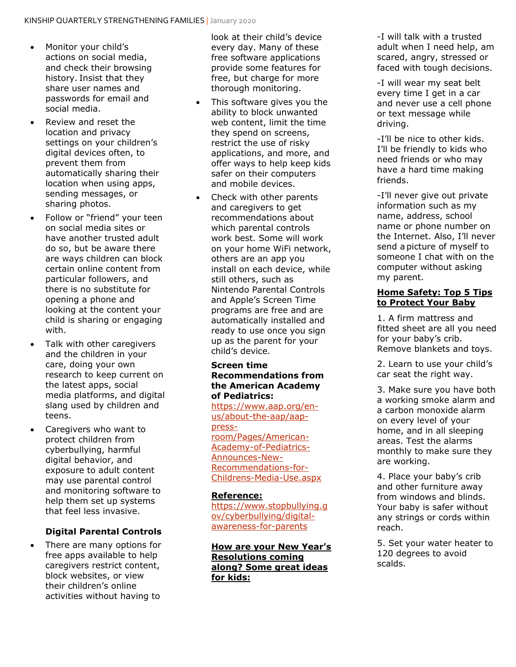- Monitor your child's actions on social media, and check their browsing history. Insist that they share user names and passwords for email and social media.
- Review and reset the location and privacy settings on your children's digital devices often, to prevent them from automatically sharing their location when using apps, sending messages, or sharing photos.
- Follow or "friend" your teen on social media sites or have another trusted adult do so, but be aware there are ways children can block certain online content from particular followers, and there is no substitute for opening a phone and looking at the content your child is sharing or engaging with.
- Talk with other caregivers and the children in your care, doing your own research to keep current on the latest apps, social media platforms, and digital slang used by children and teens.
- Caregivers who want to protect children from cyberbullying, harmful digital behavior, and exposure to adult content may use parental control and monitoring software to help them set up systems that feel less invasive.

## **Digital Parental Controls**

• There are many options for free apps available to help caregivers restrict content, block websites, or view their children's online activities without having to

look at their child's device every day. Many of these free software applications provide some features for free, but charge for more thorough monitoring.

- This software gives you the ability to block unwanted web content, limit the time they spend on screens, restrict the use of risky applications, and more, and offer ways to help keep kids safer on their computers and mobile devices.
- Check with other parents and caregivers to get recommendations about which parental controls work best. Some will work on your home WiFi network, others are an app you install on each device, while still others, such as Nintendo Parental Controls and Apple's Screen Time programs are free and are automatically installed and ready to use once you sign up as the parent for your child's device.

#### **Screen time Recommendations from the American Academy of Pediatrics:**

[https://www.aap.org/en](https://www.aap.org/en-us/about-the-aap/aap-press-room/Pages/American-Academy-of-Pediatrics-Announces-New-Recommendations-for-Childrens-Media-Use.aspx)[us/about-the-aap/aap](https://www.aap.org/en-us/about-the-aap/aap-press-room/Pages/American-Academy-of-Pediatrics-Announces-New-Recommendations-for-Childrens-Media-Use.aspx)[press](https://www.aap.org/en-us/about-the-aap/aap-press-room/Pages/American-Academy-of-Pediatrics-Announces-New-Recommendations-for-Childrens-Media-Use.aspx)[room/Pages/American-](https://www.aap.org/en-us/about-the-aap/aap-press-room/Pages/American-Academy-of-Pediatrics-Announces-New-Recommendations-for-Childrens-Media-Use.aspx)[Academy-of-Pediatrics-](https://www.aap.org/en-us/about-the-aap/aap-press-room/Pages/American-Academy-of-Pediatrics-Announces-New-Recommendations-for-Childrens-Media-Use.aspx)[Announces-New-](https://www.aap.org/en-us/about-the-aap/aap-press-room/Pages/American-Academy-of-Pediatrics-Announces-New-Recommendations-for-Childrens-Media-Use.aspx)[Recommendations-for-](https://www.aap.org/en-us/about-the-aap/aap-press-room/Pages/American-Academy-of-Pediatrics-Announces-New-Recommendations-for-Childrens-Media-Use.aspx)[Childrens-Media-Use.aspx](https://www.aap.org/en-us/about-the-aap/aap-press-room/Pages/American-Academy-of-Pediatrics-Announces-New-Recommendations-for-Childrens-Media-Use.aspx)

#### **Reference:**

[https://www.stopbullying.g](https://www.stopbullying.gov/cyberbullying/digital-awareness-for-parents) [ov/cyberbullying/digital](https://www.stopbullying.gov/cyberbullying/digital-awareness-for-parents)[awareness-for-parents](https://www.stopbullying.gov/cyberbullying/digital-awareness-for-parents)

**How are your New Year's Resolutions coming along? Some great ideas for kids:**

-I will talk with a trusted adult when I need help, am scared, angry, stressed or faced with tough decisions.

-I will wear my seat belt every time I get in a car and never use a cell phone or text message while driving.

-I'll be nice to other kids. I'll be friendly to kids who need friends or who may have a hard time making friends.

-I'll never give out private information such as my name, address, school name or phone number on the Internet. Also, I'll never send a picture of myself to someone I chat with on the computer without asking my parent.

#### **Home Safety: Top 5 Tips to Protect Your Baby**

1. A firm mattress and fitted sheet are all you need for your baby's crib. Remove blankets and toys.

2. Learn to use your child's car seat the right way.

3. Make sure you have both a working smoke alarm and a carbon monoxide alarm on every level of your home, and in all sleeping areas. Test the alarms monthly to make sure they are working.

4. Place your baby's crib and other furniture away from windows and blinds. Your baby is safer without any strings or cords within reach.

5. Set your water heater to 120 degrees to avoid scalds.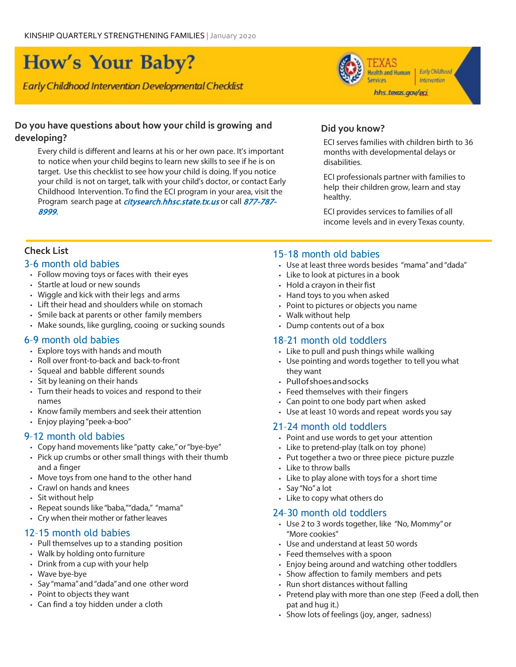# How's Your Baby?

Early Childhood Intervention Developmental Checklist

#### **Do you have questions about how your child is growing and developing?**

Every child is different and learns at his or her own pace. It's important to notice when your child begins to learn new skills to see if he is on target. Use this checklist to see how your child is doing. If you notice your child is not on target, talk with your child's doctor, or contact Early Childhood Intervention. To find the ECI program in your area, visit the Program search page at *citysearch.hhsc.state.tx.us* or call 877-787-8999.



#### **Did you know?**

ECI serves families with children birth to 36 months with developmental delays or disabilities.

ECI professionals partner with families to help their children grow, learn and stay healthy.

ECI provides services to families of all income levels and in every Texas county.

# **Check List**

#### 3–6 month old babies

- Follow moving toys or faces with their eyes
- Startle at loud or new sounds
- Wiggle and kick with their legs and arms
- Lift their head and shoulders while on stomach
- Smile back at parents or other family members
- Make sounds, like gurgling, cooing or sucking sounds

## 6–9 month old babies

- Explore toys with hands and mouth
- Roll over front-to-back and back-to-front
- Squeal and babble different sounds
- Sit by leaning on their hands
- Turn their heads to voices and respond to their names
- Know family members and seek their attention
- Enjoy playing"peek-a-boo"

## 9–12 month old babies

- Copy hand movements like "patty cake,"or"bye-bye"
- Pick up crumbs or other small things with their thumb and a finger
- Move toys from one hand to the other hand
- Crawl on hands and knees
- Sit without help
- Repeat sounds like "baba,""dada," "mama"
- Cry when their mother or father leaves

## 12–15 month old babies

- Pull themselves up to a standing position
- Walk by holding onto furniture
- Drink from a cup with your help
- Wave bye-bye
- Say "mama"and"dada"and one other word
- Point to objects they want
- Can find a toy hidden under a cloth

# 15–18 month old babies

- Use at least three words besides "mama"and"dada"
- Like to look at pictures in a book
- Hold a crayon in their fist
- Hand toys to you when asked
- Point to pictures or objects you name
- Walk without help
- Dump contents out of a box

## 18–21 month old toddlers

- Like to pull and push things while walking
- Use pointing and words together to tell you what they want
- Pullofshoes and socks
- Feed themselves with their fingers
- Can point to one body part when asked
- Use at least 10 words and repeat words you say

## 21–24 month old toddlers

- Point and use words to get your attention
- Like to pretend-play (talk on toy phone)
- Put together a two or three piece picture puzzle
- Like to throw balls
- $\cdot$  Like to play alone with toys for a short time
- Say "No"a lot
- Like to copy what others do

#### 24–30 month old toddlers

- Use 2 to 3 words together, like "No, Mommy"or "More cookies"
- Use and understand at least 50 words
- Feed themselves with a spoon
- Enjoy being around and watching other toddlers
- Show affection to family members and pets
- Run short distances without falling
- Pretend play with more than one step (Feed a doll, then pat and hug it.)
- Show lots of feelings (joy, anger, sadness)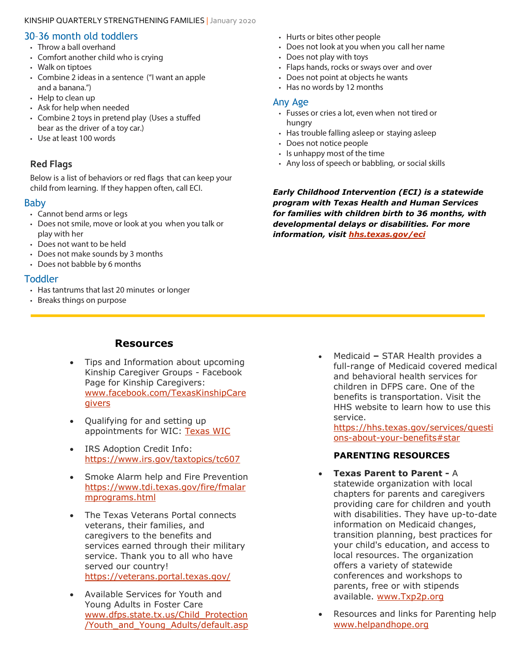#### KINSHIP QUARTERLY STRENGTHENING FAMILIES | January 2020

# 30–36 month old toddlers

- Throw a ball overhand
- Comfort another child who is crying
- Walk on tiptoes
- Combine 2 ideas in a sentence ("I want an apple and a banana.")
- Help to clean up
- Ask for help when needed
- Combine 2 toys in pretend play (Uses a stuffed bear as the driver of a toy car.)
- Use at least 100 words

# **Red Flags**

Below is a list of behaviors or red flags that can keep your child from learning. If they happen often, call ECI.

# Baby

- Cannot bend arms or legs
- Does not smile, move or look at you when you talk or play with her
- Does not want to be held
- Does not make sounds by 3 months
- Does not babble by 6 months

# **Toddler**

- Has tantrums that last 20 minutes or longer
- Breaks things on purpose
- Hurts or bites other people
- Does not look at you when you call her name
- Does not play with toys
- Flaps hands, rocks or sways over and over
- Does not point at objects he wants
- Has no words by 12 months

#### Any Age

- Fusses or cries a lot, even when not tired or hungry
- Has trouble falling asleep or staying asleep
- Does not notice people
- Is unhappy most of the time
- Any loss of speech or babbling, or social skills

*Early Childhood Intervention (ECI) is a statewide program with Texas Health and Human Services for families with children birth to 36 months, with developmental delays or disabilities. For more information, visit [hhs.texas.gov/eci](https://hhs.texas.gov/services/disability/early-childhood-intervention-services)*

# **Resources**

- Tips and Information about upcoming Kinship Caregiver Groups - Facebook Page for Kinship Caregivers: [www.facebook.com/TexasKinshipCare](http://www.facebook.com/TexasKinshipCaregivers) **[givers](http://www.facebook.com/TexasKinshipCaregivers)**
- Qualifying for and setting up appointments for WIC: [Texas WIC](https://texaswic.org/)
- IRS Adoption Credit Info: <https://www.irs.gov/taxtopics/tc607>
- Smoke Alarm help and Fire Prevention [https://www.tdi.texas.gov/fire/fmalar](https://www.tdi.texas.gov/fire/fmalarmprograms.html) [mprograms.html](https://www.tdi.texas.gov/fire/fmalarmprograms.html)
- The Texas Veterans Portal connects veterans, their families, and caregivers to the benefits and services earned through their military service. Thank you to all who have served our country! <https://veterans.portal.texas.gov/>
- Available Services for Youth and Young Adults in Foster Care [www.dfps.state.tx.us/Child\\_Protection](http://www.dfps.state.tx.us/Child_Protection/Youth_and_Young_Adults/default.asp) [/Youth\\_and\\_Young\\_Adults/default.asp](http://www.dfps.state.tx.us/Child_Protection/Youth_and_Young_Adults/default.asp)

• Medicaid **–** STAR Health provides a full-range of Medicaid covered medical and behavioral health services for children in DFPS care. One of the benefits is transportation. Visit the HHS website to learn how to use this service.

[https://hhs.texas.gov/services/questi](https://hhs.texas.gov/services/questions-about-your-benefits#star) [ons-about-your-benefits#star](https://hhs.texas.gov/services/questions-about-your-benefits#star)

# **PARENTING RESOURCES**

- **Texas Parent to Parent -** A statewide organization with local chapters for parents and caregivers providing care for children and youth with disabilities. They have up-to-date information on Medicaid changes, transition planning, best practices for your child's education, and access to local resources. The organization offers a variety of statewide conferences and workshops to parents, free or with stipends available. [www.Txp2p.org](http://www.txp2p.org/)
- Resources and links for Parenting help [www.helpandhope.org](http://www.helpandhope.org/)